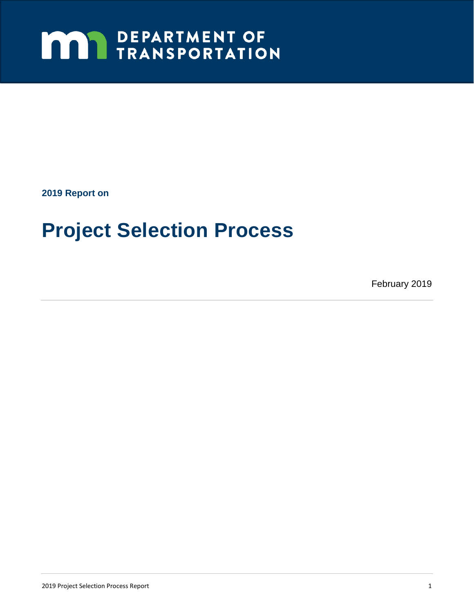# **MAY DEPARTMENT OF TRANSPORTATION**

**2019 Report on** 

# **Project Selection Process**

February 2019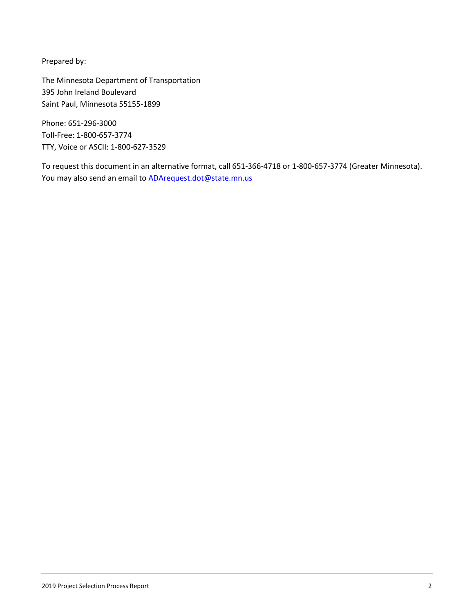Prepared by:

The Minnesota Department of Transportation 395 John Ireland Boulevard Saint Paul, Minnesota 55155-1899

Phone: 651-296-3000 Toll-Free: 1-800-657-3774 TTY, Voice or ASCII: 1-800-627-3529

To request this document in an alternative format, call 651-366-4718 or 1-800-657-3774 (Greater Minnesota). You may also send an email to **ADArequest.dot@state.mn.us**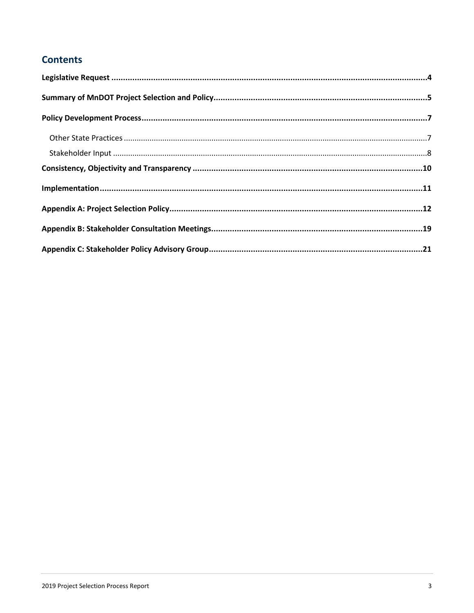### **Contents**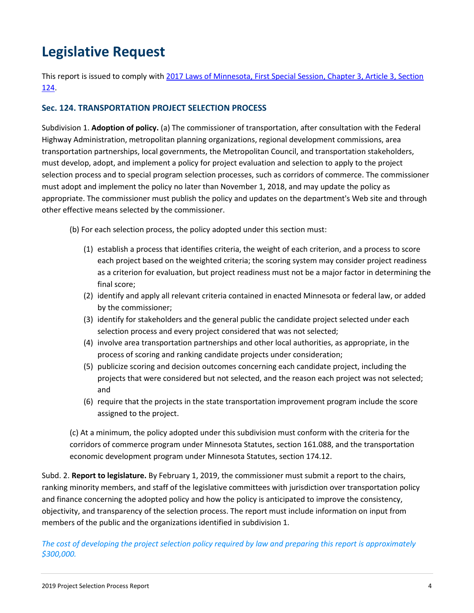# **Legislative Request**

This report is issued to comply with 2017 Laws of Minnesota, First Special Session, Chapter 3, Article 3, Section 124.

#### **Sec. 124. TRANSPORTATION PROJECT SELECTION PROCESS**

Subdivision 1. **Adoption of policy.** (a) The commissioner of transportation, after consultation with the Federal Highway Administration, metropolitan planning organizations, regional development commissions, area transportation partnerships, local governments, the Metropolitan Council, and transportation stakeholders, must develop, adopt, and implement a policy for project evaluation and selection to apply to the project selection process and to special program selection processes, such as corridors of commerce. The commissioner must adopt and implement the policy no later than November 1, 2018, and may update the policy as appropriate. The commissioner must publish the policy and updates on the department's Web site and through other effective means selected by the commissioner.

- (b) For each selection process, the policy adopted under this section must:
	- (1) establish a process that identifies criteria, the weight of each criterion, and a process to score each project based on the weighted criteria; the scoring system may consider project readiness as a criterion for evaluation, but project readiness must not be a major factor in determining the final score;
	- (2) identify and apply all relevant criteria contained in enacted Minnesota or federal law, or added by the commissioner;
	- (3) identify for stakeholders and the general public the candidate project selected under each selection process and every project considered that was not selected;
	- (4) involve area transportation partnerships and other local authorities, as appropriate, in the process of scoring and ranking candidate projects under consideration;
	- (5) publicize scoring and decision outcomes concerning each candidate project, including the projects that were considered but not selected, and the reason each project was not selected; and
	- (6) require that the projects in the state transportation improvement program include the score assigned to the project.

(c) At a minimum, the policy adopted under this subdivision must conform with the criteria for the corridors of commerce program under Minnesota Statutes, section 161.088, and the transportation economic development program under Minnesota Statutes, section 174.12.

Subd. 2. **Report to legislature.** By February 1, 2019, the commissioner must submit a report to the chairs, ranking minority members, and staff of the legislative committees with jurisdiction over transportation policy and finance concerning the adopted policy and how the policy is anticipated to improve the consistency, objectivity, and transparency of the selection process. The report must include information on input from members of the public and the organizations identified in subdivision 1.

*The cost of developing the project selection policy required by law and preparing this report is approximately \$300,000.*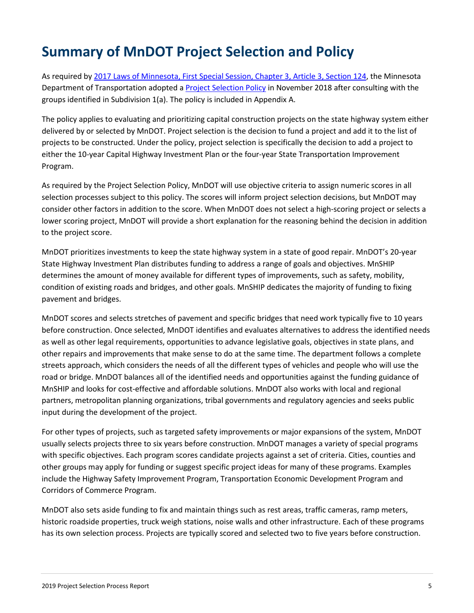# **Summary of MnDOT Project Selection and Policy**

As required by 2017 Laws of Minnesota, First Special Session, Chapter 3, Article 3, Section 124, the Minnesota Department of Transportation adopted a Project Selection Policy in November 2018 after consulting with the groups identified in Subdivision 1(a). The policy is included in Appendix A.

The policy applies to evaluating and prioritizing capital construction projects on the state highway system either delivered by or selected by MnDOT. Project selection is the decision to fund a project and add it to the list of projects to be constructed. Under the policy, project selection is specifically the decision to add a project to either the 10-year Capital Highway Investment Plan or the four-year State Transportation Improvement Program.

As required by the Project Selection Policy, MnDOT will use objective criteria to assign numeric scores in all selection processes subject to this policy. The scores will inform project selection decisions, but MnDOT may consider other factors in addition to the score. When MnDOT does not select a high-scoring project or selects a lower scoring project, MnDOT will provide a short explanation for the reasoning behind the decision in addition to the project score.

MnDOT prioritizes investments to keep the state highway system in a state of good repair. MnDOT's 20-year State Highway Investment Plan distributes funding to address a range of goals and objectives. MnSHIP determines the amount of money available for different types of improvements, such as safety, mobility, condition of existing roads and bridges, and other goals. MnSHIP dedicates the majority of funding to fixing pavement and bridges.

MnDOT scores and selects stretches of pavement and specific bridges that need work typically five to 10 years before construction. Once selected, MnDOT identifies and evaluates alternatives to address the identified needs as well as other legal requirements, opportunities to advance legislative goals, objectives in state plans, and other repairs and improvements that make sense to do at the same time. The department follows a complete streets approach, which considers the needs of all the different types of vehicles and people who will use the road or bridge. MnDOT balances all of the identified needs and opportunities against the funding guidance of MnSHIP and looks for cost-effective and affordable solutions. MnDOT also works with local and regional partners, metropolitan planning organizations, tribal governments and regulatory agencies and seeks public input during the development of the project.

For other types of projects, such as targeted safety improvements or major expansions of the system, MnDOT usually selects projects three to six years before construction. MnDOT manages a variety of special programs with specific objectives. Each program scores candidate projects against a set of criteria. Cities, counties and other groups may apply for funding or suggest specific project ideas for many of these programs. Examples include the Highway Safety Improvement Program, Transportation Economic Development Program and Corridors of Commerce Program.

MnDOT also sets aside funding to fix and maintain things such as rest areas, traffic cameras, ramp meters, historic roadside properties, truck weigh stations, noise walls and other infrastructure. Each of these programs has its own selection process. Projects are typically scored and selected two to five years before construction.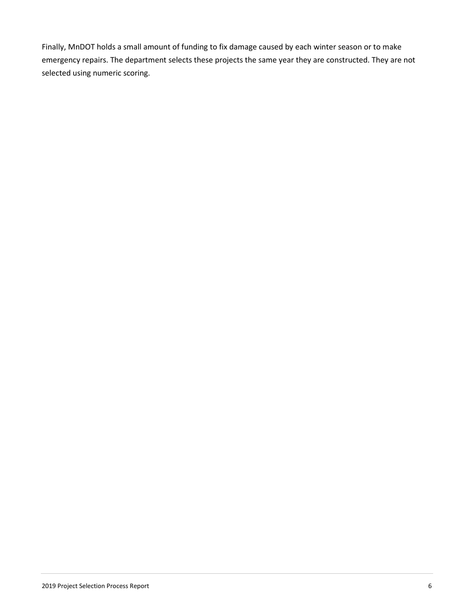Finally, MnDOT holds a small amount of funding to fix damage caused by each winter season or to make emergency repairs. The department selects these projects the same year they are constructed. They are not selected using numeric scoring.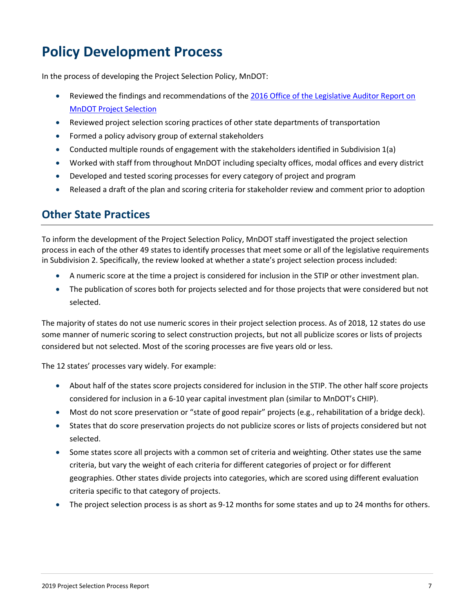# **Policy Development Process**

In the process of developing the Project Selection Policy, MnDOT:

- Reviewed the findings and recommendations of the 2016 Office of the Legislative Auditor Report on MnDOT Project Selection
- Reviewed project selection scoring practices of other state departments of transportation
- Formed a policy advisory group of external stakeholders
- Conducted multiple rounds of engagement with the stakeholders identified in Subdivision 1(a)
- Worked with staff from throughout MnDOT including specialty offices, modal offices and every district
- Developed and tested scoring processes for every category of project and program
- Released a draft of the plan and scoring criteria for stakeholder review and comment prior to adoption

### **Other State Practices**

To inform the development of the Project Selection Policy, MnDOT staff investigated the project selection process in each of the other 49 states to identify processes that meet some or all of the legislative requirements in Subdivision 2. Specifically, the review looked at whether a state's project selection process included:

- A numeric score at the time a project is considered for inclusion in the STIP or other investment plan.
- The publication of scores both for projects selected and for those projects that were considered but not selected.

The majority of states do not use numeric scores in their project selection process. As of 2018, 12 states do use some manner of numeric scoring to select construction projects, but not all publicize scores or lists of projects considered but not selected. Most of the scoring processes are five years old or less.

The 12 states' processes vary widely. For example:

- About half of the states score projects considered for inclusion in the STIP. The other half score projects considered for inclusion in a 6-10 year capital investment plan (similar to MnDOT's CHIP).
- Most do not score preservation or "state of good repair" projects (e.g., rehabilitation of a bridge deck).
- States that do score preservation projects do not publicize scores or lists of projects considered but not selected.
- Some states score all projects with a common set of criteria and weighting. Other states use the same criteria, but vary the weight of each criteria for different categories of project or for different geographies. Other states divide projects into categories, which are scored using different evaluation criteria specific to that category of projects.
- The project selection process is as short as 9-12 months for some states and up to 24 months for others.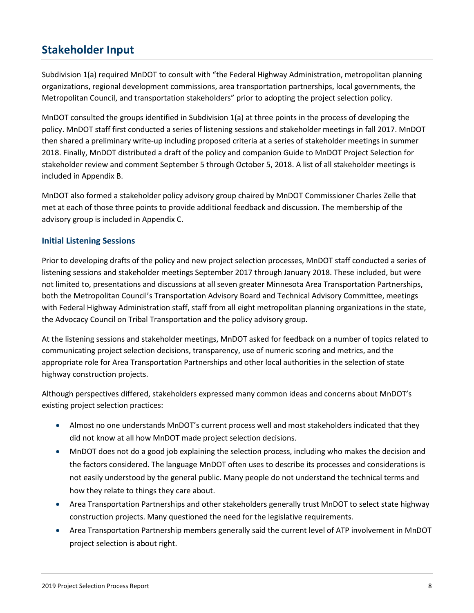### **Stakeholder Input**

Subdivision 1(a) required MnDOT to consult with "the Federal Highway Administration, metropolitan planning organizations, regional development commissions, area transportation partnerships, local governments, the Metropolitan Council, and transportation stakeholders" prior to adopting the project selection policy.

MnDOT consulted the groups identified in Subdivision 1(a) at three points in the process of developing the policy. MnDOT staff first conducted a series of listening sessions and stakeholder meetings in fall 2017. MnDOT then shared a preliminary write-up including proposed criteria at a series of stakeholder meetings in summer 2018. Finally, MnDOT distributed a draft of the policy and companion Guide to MnDOT Project Selection for stakeholder review and comment September 5 through October 5, 2018. A list of all stakeholder meetings is included in Appendix B.

MnDOT also formed a stakeholder policy advisory group chaired by MnDOT Commissioner Charles Zelle that met at each of those three points to provide additional feedback and discussion. The membership of the advisory group is included in Appendix C.

#### **Initial Listening Sessions**

Prior to developing drafts of the policy and new project selection processes, MnDOT staff conducted a series of listening sessions and stakeholder meetings September 2017 through January 2018. These included, but were not limited to, presentations and discussions at all seven greater Minnesota Area Transportation Partnerships, both the Metropolitan Council's Transportation Advisory Board and Technical Advisory Committee, meetings with Federal Highway Administration staff, staff from all eight metropolitan planning organizations in the state, the Advocacy Council on Tribal Transportation and the policy advisory group.

At the listening sessions and stakeholder meetings, MnDOT asked for feedback on a number of topics related to communicating project selection decisions, transparency, use of numeric scoring and metrics, and the appropriate role for Area Transportation Partnerships and other local authorities in the selection of state highway construction projects.

Although perspectives differed, stakeholders expressed many common ideas and concerns about MnDOT's existing project selection practices:

- Almost no one understands MnDOT's current process well and most stakeholders indicated that they did not know at all how MnDOT made project selection decisions.
- MnDOT does not do a good job explaining the selection process, including who makes the decision and the factors considered. The language MnDOT often uses to describe its processes and considerations is not easily understood by the general public. Many people do not understand the technical terms and how they relate to things they care about.
- Area Transportation Partnerships and other stakeholders generally trust MnDOT to select state highway construction projects. Many questioned the need for the legislative requirements.
- Area Transportation Partnership members generally said the current level of ATP involvement in MnDOT project selection is about right.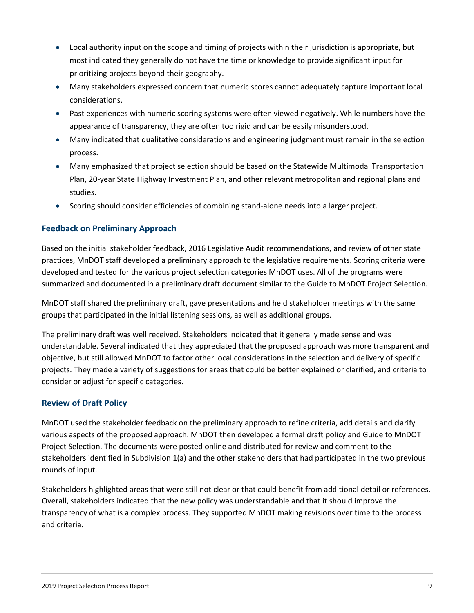- Local authority input on the scope and timing of projects within their jurisdiction is appropriate, but most indicated they generally do not have the time or knowledge to provide significant input for prioritizing projects beyond their geography.
- Many stakeholders expressed concern that numeric scores cannot adequately capture important local considerations.
- Past experiences with numeric scoring systems were often viewed negatively. While numbers have the appearance of transparency, they are often too rigid and can be easily misunderstood.
- Many indicated that qualitative considerations and engineering judgment must remain in the selection process.
- Many emphasized that project selection should be based on the Statewide Multimodal Transportation Plan, 20-year State Highway Investment Plan, and other relevant metropolitan and regional plans and studies.
- Scoring should consider efficiencies of combining stand-alone needs into a larger project.

#### **Feedback on Preliminary Approach**

Based on the initial stakeholder feedback, 2016 Legislative Audit recommendations, and review of other state practices, MnDOT staff developed a preliminary approach to the legislative requirements. Scoring criteria were developed and tested for the various project selection categories MnDOT uses. All of the programs were summarized and documented in a preliminary draft document similar to the Guide to MnDOT Project Selection.

MnDOT staff shared the preliminary draft, gave presentations and held stakeholder meetings with the same groups that participated in the initial listening sessions, as well as additional groups.

The preliminary draft was well received. Stakeholders indicated that it generally made sense and was understandable. Several indicated that they appreciated that the proposed approach was more transparent and objective, but still allowed MnDOT to factor other local considerations in the selection and delivery of specific projects. They made a variety of suggestions for areas that could be better explained or clarified, and criteria to consider or adjust for specific categories.

#### **Review of Draft Policy**

MnDOT used the stakeholder feedback on the preliminary approach to refine criteria, add details and clarify various aspects of the proposed approach. MnDOT then developed a formal draft policy and Guide to MnDOT Project Selection. The documents were posted online and distributed for review and comment to the stakeholders identified in Subdivision 1(a) and the other stakeholders that had participated in the two previous rounds of input.

Stakeholders highlighted areas that were still not clear or that could benefit from additional detail or references. Overall, stakeholders indicated that the new policy was understandable and that it should improve the transparency of what is a complex process. They supported MnDOT making revisions over time to the process and criteria.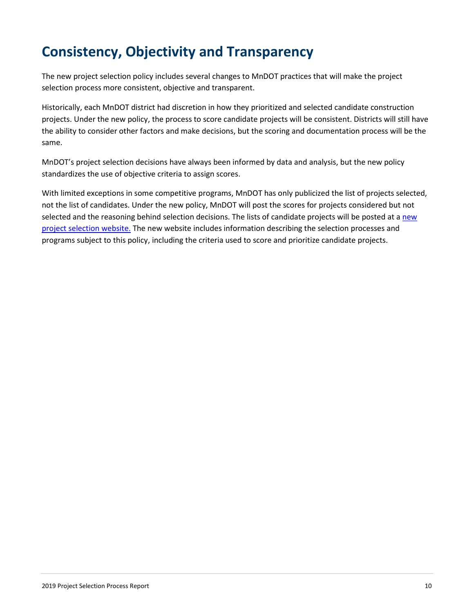# **Consistency, Objectivity and Transparency**

The new project selection policy includes several changes to MnDOT practices that will make the project selection process more consistent, objective and transparent.

Historically, each MnDOT district had discretion in how they prioritized and selected candidate construction projects. Under the new policy, the process to score candidate projects will be consistent. Districts will still have the ability to consider other factors and make decisions, but the scoring and documentation process will be the same.

MnDOT's project selection decisions have always been informed by data and analysis, but the new policy standardizes the use of objective criteria to assign scores.

With limited exceptions in some competitive programs, MnDOT has only publicized the list of projects selected, not the list of candidates. Under the new policy, MnDOT will post the scores for projects considered but not selected and the reasoning behind selection decisions. The lists of candidate projects will be posted at a new project selection website. The new website includes information describing the selection processes and programs subject to this policy, including the criteria used to score and prioritize candidate projects.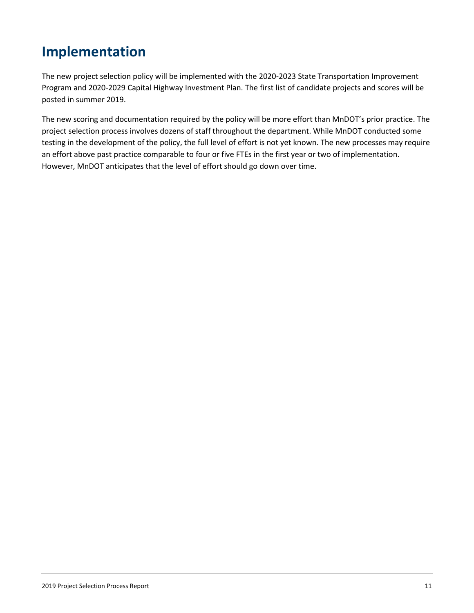# **Implementation**

The new project selection policy will be implemented with the 2020-2023 State Transportation Improvement Program and 2020-2029 Capital Highway Investment Plan. The first list of candidate projects and scores will be posted in summer 2019.

The new scoring and documentation required by the policy will be more effort than MnDOT's prior practice. The project selection process involves dozens of staff throughout the department. While MnDOT conducted some testing in the development of the policy, the full level of effort is not yet known. The new processes may require an effort above past practice comparable to four or five FTEs in the first year or two of implementation. However, MnDOT anticipates that the level of effort should go down over time.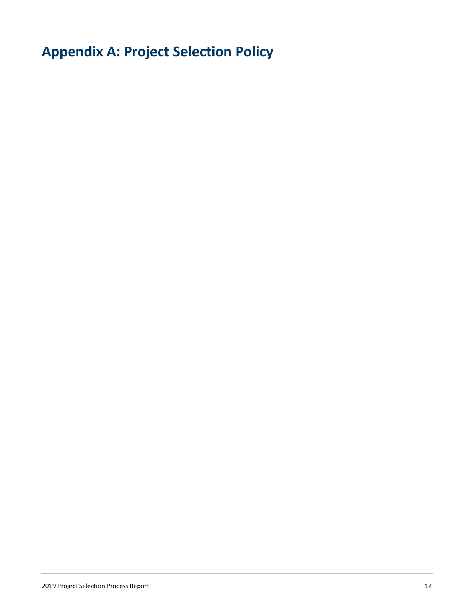**Appendix A: Project Selection Policy**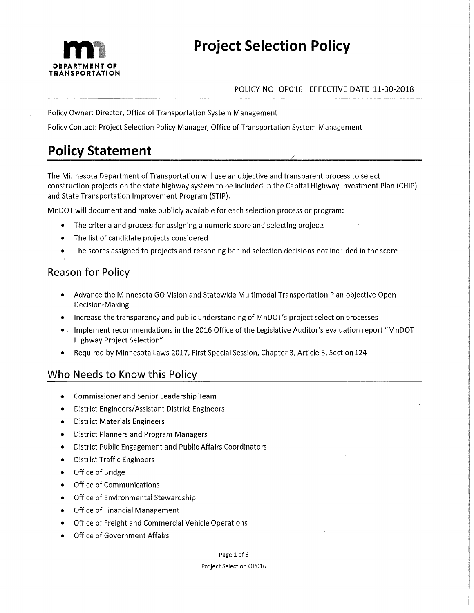

## **Project Selection Policy**

#### POLICY NO. OP016 EFFECTIVE DATE 11-30-2018

Policy Owner: Director, Office of Transportation System Management

Policy Contact: Project Selection Policy Manager, Office of Transportation System Management

### **Policy Statement**

The Minnesota Department of Transportation will use an objective and transparent process to select construction projects on the state highway system to be included in the Capital Highway Investment Plan (CHIP) and State Transportation Improvement Program (STIP).

MnDOT will document and make publicly available for each selection process or program:

- The criteria and process for assigning a numeric score and selecting projects
- The list of candidate projects considered
- The scores assigned to projects and reasoning behind selection decisions not included in the score

### **Reason for Policy**

- Advance the Minnesota GO Vision and Statewide Multimodal Transportation Plan objective Open  $\bullet$ Decision-Making
- Increase the transparency and public understanding of MnDOT's project selection processes
- Implement recommendations in the 2016 Office of the Legislative Auditor's evaluation report "MnDOT  $\bullet$ **Highway Project Selection"**
- Required by Minnesota Laws 2017, First Special Session, Chapter 3, Article 3, Section 124

### Who Needs to Know this Policy

- Commissioner and Senior Leadership Team  $\bullet$
- **District Engineers/Assistant District Engineers**
- **District Materials Engineers**  $\bullet$
- **District Planners and Program Managers**
- District Public Engagement and Public Affairs Coordinators  $\bullet$
- District Traffic Engineers  $\bullet$
- Office of Bridge  $\bullet$
- **Office of Communications**  $\bullet$
- Office of Environmental Stewardship  $\blacksquare$
- **Office of Financial Management**  $\bullet$
- Office of Freight and Commercial Vehicle Operations
- **Office of Government Affairs**

#### Page 1 of 6

#### Project Selection OP016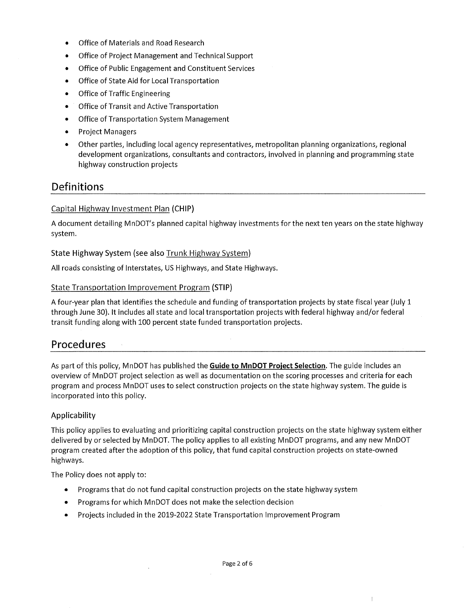- Office of Materials and Road Research
- Office of Project Management and Technical Support
- Office of Public Engagement and Constituent Services  $\bullet$
- Office of State Aid for Local Transportation  $\bullet$
- **Office of Traffic Engineering**  $\bullet$
- Office of Transit and Active Transportation
- Office of Transportation System Management  $\bullet$
- **Project Managers**
- Other parties, including local agency representatives, metropolitan planning organizations, regional development organizations, consultants and contractors, involved in planning and programming state highway construction projects

### Definitions

#### Capital Highway Investment Plan (CHIP)

A document detailing MnDOT's planned capital highway investments for the next ten years on the state highway system.

#### State Highway System (see also Trunk Highway System)

All roads consisting of Interstates, US Highways, and State Highways.

#### **State Transportation Improvement Program (STIP)**

A four-year plan that identifies the schedule and funding of transportation projects by state fiscal year (July 1 through June 30). It includes all state and local transportation projects with federal highway and/or federal transit funding along with 100 percent state funded transportation projects.

### Procedures

As part of this policy, MnDOT has published the Guide to MnDOT Project Selection. The guide includes an overview of MnDOT project selection as well as documentation on the scoring processes and criteria for each program and process MnDOT uses to select construction projects on the state highway system. The guide is incorporated into this policy.

#### Applicability

This policy applies to evaluating and prioritizing capital construction projects on the state highway system either delivered by or selected by MnDOT. The policy applies to all existing MnDOT programs, and any new MnDOT program created after the adoption of this policy, that fund capital construction projects on state-owned highways.

The Policy does not apply to:

- Programs that do not fund capital construction projects on the state highway system  $\bullet$
- Programs for which MnDOT does not make the selection decision  $\bullet$
- Projects included in the 2019-2022 State Transportation Improvement Program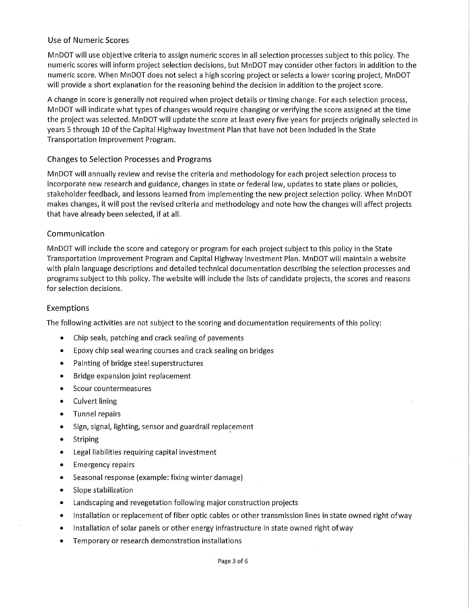#### Use of Numeric Scores

MnDOT will use objective criteria to assign numeric scores in all selection processes subject to this policy. The numeric scores will inform project selection decisions, but MnDOT may consider other factors in addition to the numeric score. When MnDOT does not select a high scoring project or selects a lower scoring project, MnDOT will provide a short explanation for the reasoning behind the decision in addition to the project score.

A change in score is generally not required when project details or timing change. For each selection process, MnDOT will indicate what types of changes would require changing or verifying the score assigned at the time the project was selected. MnDOT will update the score at least every five years for projects originally selected in years 5 through 10 of the Capital Highway Investment Plan that have not been included in the State Transportation Improvement Program.

#### **Changes to Selection Processes and Programs**

MnDOT will annually review and revise the criteria and methodology for each project selection process to incorporate new research and guidance, changes in state or federal law, updates to state plans or policies, stakeholder feedback, and lessons learned from implementing the new project selection policy. When MnDOT makes changes, it will post the revised criteria and methodology and note how the changes will affect projects that have already been selected, if at all.

#### Communication

MnDOT will include the score and category or program for each project subject to this policy in the State Transportation Improvement Program and Capital Highway Investment Plan. MnDOT will maintain a website with plain language descriptions and detailed technical documentation describing the selection processes and programs subject to this policy. The website will include the lists of candidate projects, the scores and reasons for selection decisions.

#### Exemptions

The following activities are not subject to the scoring and documentation requirements of this policy:

- Chip seals, patching and crack sealing of pavements
- Epoxy chip seal wearing courses and crack sealing on bridges  $\bullet$
- Painting of bridge steel superstructures  $\bullet$
- Bridge expansion joint replacement  $\bullet$
- Scour countermeasures  $\bullet$
- **Culvert lining**  $\bullet$
- **Tunnel repairs**  $\bullet$
- Sign, signal, lighting, sensor and guardrail replacement  $\bullet$
- Striping  $\bullet$
- Legal liabilities requiring capital investment  $\bullet$
- $\bullet$ **Emergency repairs**
- Seasonal response (example: fixing winter damage)  $\bullet$
- Slope stabilization  $\bullet$
- Landscaping and revegetation following major construction projects  $\bullet$
- Installation or replacement of fiber optic cables or other transmission lines in state owned right of way  $\bullet$
- Installation of solar panels or other energy infrastructure in state owned right of way  $\bullet$
- Temporary or research demonstration installations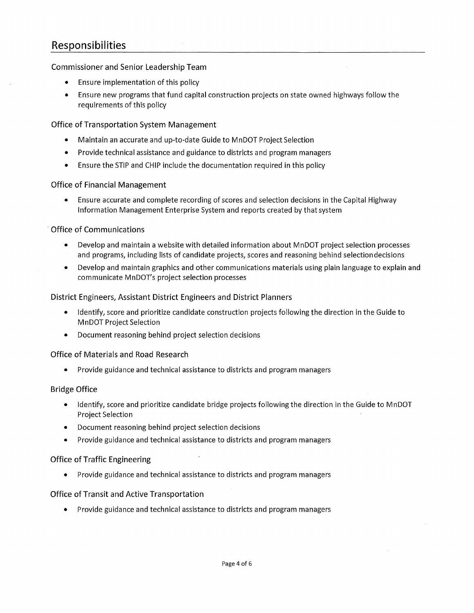### Responsibilities

#### **Commissioner and Senior Leadership Team**

- Ensure implementation of this policy
- Ensure new programs that fund capital construction projects on state owned highways follow the  $\bullet$ requirements of this policy

#### **Office of Transportation System Management**

- Maintain an accurate and up-to-date Guide to MnDOT Project Selection
- Provide technical assistance and guidance to districts and program managers
- Ensure the STIP and CHIP include the documentation required in this policy

#### **Office of Financial Management**

Ensure accurate and complete recording of scores and selection decisions in the Capital Highway  $\bullet$ Information Management Enterprise System and reports created by that system

#### **Office of Communications**

- Develop and maintain a website with detailed information about MnDOT project selection processes  $\bullet$ and programs, including lists of candidate projects, scores and reasoning behind selection decisions
- Develop and maintain graphics and other communications materials using plain language to explain and communicate MnDOT's project selection processes

#### District Engineers, Assistant District Engineers and District Planners

- Identify, score and prioritize candidate construction projects following the direction in the Guide to **MnDOT Project Selection**
- Document reasoning behind project selection decisions

#### **Office of Materials and Road Research**

Provide guidance and technical assistance to districts and program managers

#### **Bridge Office**

- Identify, score and prioritize candidate bridge projects following the direction in the Guide to MnDOT **Project Selection**
- Document reasoning behind project selection decisions
- Provide guidance and technical assistance to districts and program managers

#### **Office of Traffic Engineering**

Provide guidance and technical assistance to districts and program managers

#### **Office of Transit and Active Transportation**

Provide guidance and technical assistance to districts and program managers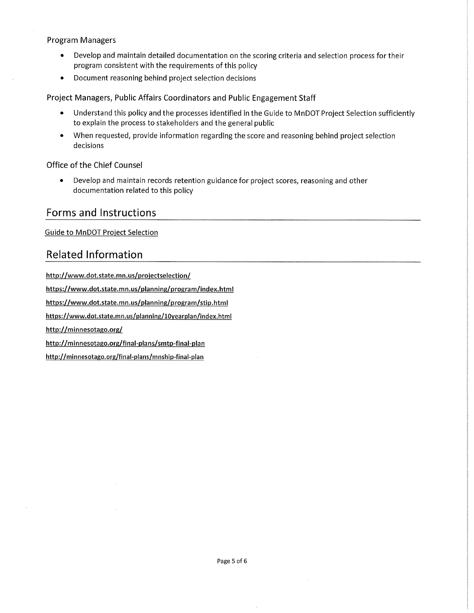#### **Program Managers**

- $\bullet$ Develop and maintain detailed documentation on the scoring criteria and selection process for their program consistent with the requirements of this policy
- Document reasoning behind project selection decisions  $\bullet$

Project Managers, Public Affairs Coordinators and Public Engagement Staff

- $\bullet$ Understand this policy and the processes identified in the Guide to MnDOT Project Selection sufficiently to explain the process to stakeholders and the general public
- $\bullet$ When requested, provide information regarding the score and reasoning behind project selection decisions

#### Office of the Chief Counsel

 $\bullet$ Develop and maintain records retention guidance for project scores, reasoning and other documentation related to this policy

#### **Forms and Instructions**

**Guide to MnDOT Project Selection** 

### **Related Information**

http://www.dot.state.mn.us/projectselection/ https://www.dot.state.mn.us/planning/program/index.html https://www.dot.state.mn.us/planning/program/stip.html https://www.dot.state.mn.us/planning/10yearplan/index.html http://minnesotago.org/ http://minnesotago.org/final-plans/smtp-final-plan http://minnesotago.org/final-plans/mnship-final-plan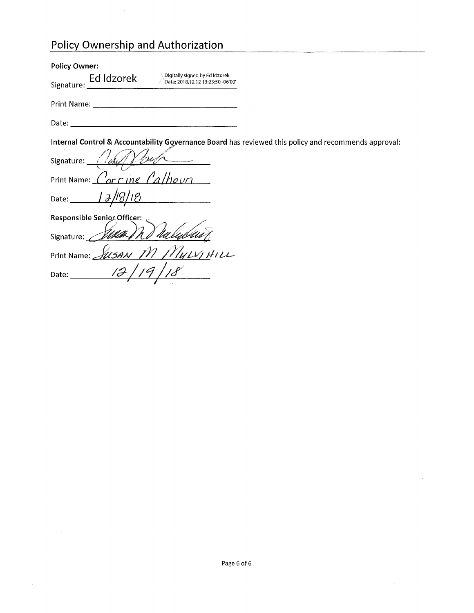### Policy Ownership and Authorization

| <b>Policy Owner:</b>                                                                                                                                                                                                           |
|--------------------------------------------------------------------------------------------------------------------------------------------------------------------------------------------------------------------------------|
| Digitally signed by Ed Idzorek<br>Ed Idzorek<br>Date: 2018.12.12 13:23:50 -06'00'<br>Signature:                                                                                                                                |
| Print Name: _<br>the contract of the contract of the contract of the contract of the contract of                                                                                                                               |
| Date: the contract of the contract of the contract of the contract of the contract of the contract of the contract of the contract of the contract of the contract of the contract of the contract of the contract of the cont |
| Internal Control & Accountability Governance Board has reviewed this policy and recommends approval:                                                                                                                           |
| Signature:                                                                                                                                                                                                                     |
| $\delta$ or $\Gamma$ ine<br>Print Name:                                                                                                                                                                                        |
| Date: $\qquad \qquad$                                                                                                                                                                                                          |
| <b>Responsible Senior Officer:</b>                                                                                                                                                                                             |
| Signature:                                                                                                                                                                                                                     |
| MULVIHILL<br>Print Name: _<br>U SA N                                                                                                                                                                                           |
| Date:                                                                                                                                                                                                                          |

 $\sim$ 

 $\ddot{\phantom{a}}$ 

 $\bar{\tau}$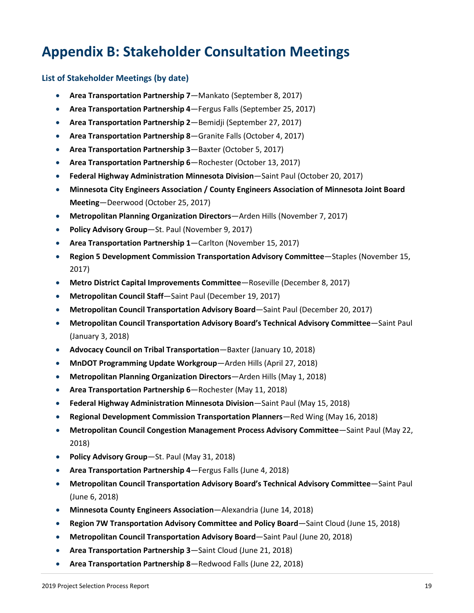# **Appendix B: Stakeholder Consultation Meetings**

#### **List of Stakeholder Meetings (by date)**

- **Area Transportation Partnership 7**—Mankato (September 8, 2017)
- **Area Transportation Partnership 4**—Fergus Falls (September 25, 2017)
- **Area Transportation Partnership 2**—Bemidji (September 27, 2017)
- **Area Transportation Partnership 8**—Granite Falls (October 4, 2017)
- **Area Transportation Partnership 3**—Baxter (October 5, 2017)
- **Area Transportation Partnership 6**—Rochester (October 13, 2017)
- **Federal Highway Administration Minnesota Division**—Saint Paul (October 20, 2017)
- **Minnesota City Engineers Association / County Engineers Association of Minnesota Joint Board Meeting**—Deerwood (October 25, 2017)
- **Metropolitan Planning Organization Directors**—Arden Hills (November 7, 2017)
- **Policy Advisory Group**—St. Paul (November 9, 2017)
- **Area Transportation Partnership 1**—Carlton (November 15, 2017)
- **Region 5 Development Commission Transportation Advisory Committee**—Staples (November 15, 2017)
- **Metro District Capital Improvements Committee**—Roseville (December 8, 2017)
- **Metropolitan Council Staff**—Saint Paul (December 19, 2017)
- **Metropolitan Council Transportation Advisory Board**—Saint Paul (December 20, 2017)
- **Metropolitan Council Transportation Advisory Board's Technical Advisory Committee**—Saint Paul (January 3, 2018)
- **Advocacy Council on Tribal Transportation**—Baxter (January 10, 2018)
- **MnDOT Programming Update Workgroup**—Arden Hills (April 27, 2018)
- **Metropolitan Planning Organization Directors**—Arden Hills (May 1, 2018)
- **Area Transportation Partnership 6**—Rochester (May 11, 2018)
- **Federal Highway Administration Minnesota Division**—Saint Paul (May 15, 2018)
- **Regional Development Commission Transportation Planners**—Red Wing (May 16, 2018)
- **Metropolitan Council Congestion Management Process Advisory Committee**—Saint Paul (May 22, 2018)
- **Policy Advisory Group**—St. Paul (May 31, 2018)
- **Area Transportation Partnership 4**—Fergus Falls (June 4, 2018)
- **Metropolitan Council Transportation Advisory Board's Technical Advisory Committee**—Saint Paul (June 6, 2018)
- **Minnesota County Engineers Association**—Alexandria (June 14, 2018)
- **Region 7W Transportation Advisory Committee and Policy Board**—Saint Cloud (June 15, 2018)
- **Metropolitan Council Transportation Advisory Board**—Saint Paul (June 20, 2018)
- **Area Transportation Partnership 3**—Saint Cloud (June 21, 2018)
- **Area Transportation Partnership 8**—Redwood Falls (June 22, 2018)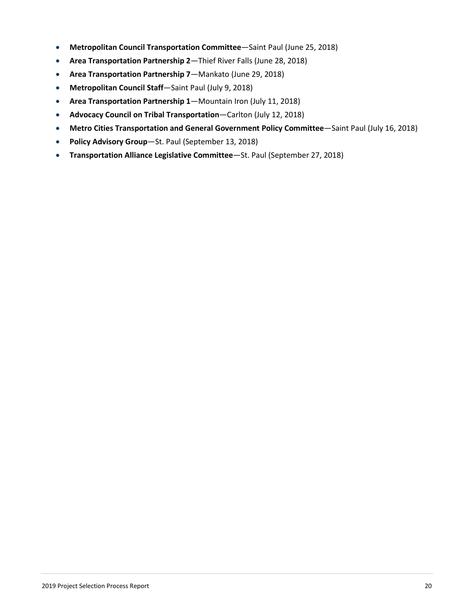- **Metropolitan Council Transportation Committee**—Saint Paul (June 25, 2018)
- **Area Transportation Partnership 2**—Thief River Falls (June 28, 2018)
- **Area Transportation Partnership 7**—Mankato (June 29, 2018)
- **Metropolitan Council Staff**—Saint Paul (July 9, 2018)
- **Area Transportation Partnership 1**—Mountain Iron (July 11, 2018)
- **Advocacy Council on Tribal Transportation**—Carlton (July 12, 2018)
- **Metro Cities Transportation and General Government Policy Committee**—Saint Paul (July 16, 2018)
- **Policy Advisory Group**—St. Paul (September 13, 2018)
- **Transportation Alliance Legislative Committee**—St. Paul (September 27, 2018)